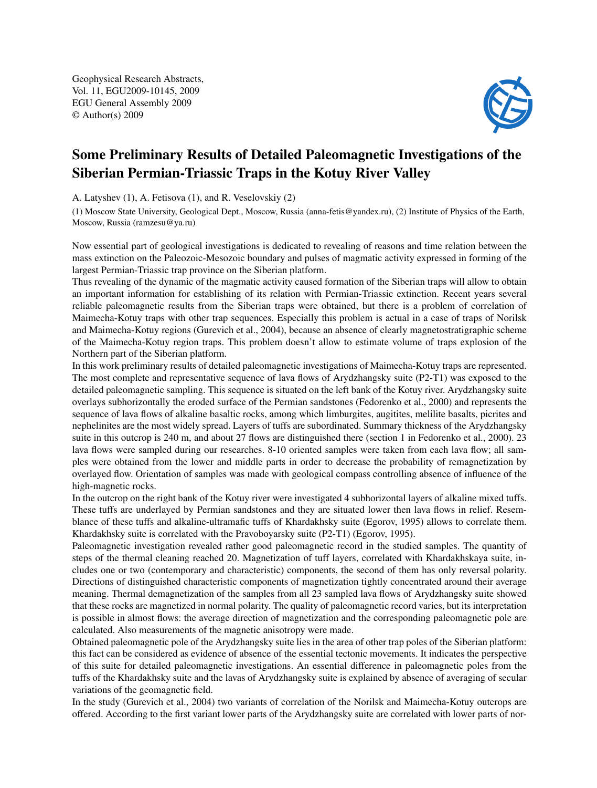Geophysical Research Abstracts, Vol. 11, EGU2009-10145, 2009 EGU General Assembly 2009 © Author(s) 2009



## Some Preliminary Results of Detailed Paleomagnetic Investigations of the Siberian Permian-Triassic Traps in the Kotuy River Valley

A. Latyshev (1), A. Fetisova (1), and R. Veselovskiy (2)

(1) Moscow State University, Geological Dept., Moscow, Russia (anna-fetis@yandex.ru), (2) Institute of Physics of the Earth, Moscow, Russia (ramzesu@ya.ru)

Now essential part of geological investigations is dedicated to revealing of reasons and time relation between the mass extinction on the Paleozoic-Mesozoic boundary and pulses of magmatic activity expressed in forming of the largest Permian-Triassic trap province on the Siberian platform.

Thus revealing of the dynamic of the magmatic activity caused formation of the Siberian traps will allow to obtain an important information for establishing of its relation with Permian-Triassic extinction. Recent years several reliable paleomagnetic results from the Siberian traps were obtained, but there is a problem of correlation of Maimecha-Kotuy traps with other trap sequences. Especially this problem is actual in a case of traps of Norilsk and Maimecha-Kotuy regions (Gurevich et al., 2004), because an absence of clearly magnetostratigraphic scheme of the Maimecha-Kotuy region traps. This problem doesn't allow to estimate volume of traps explosion of the Northern part of the Siberian platform.

In this work preliminary results of detailed paleomagnetic investigations of Maimecha-Kotuy traps are represented. The most complete and representative sequence of lava flows of Arydzhangsky suite (P2-T1) was exposed to the detailed paleomagnetic sampling. This sequence is situated on the left bank of the Kotuy river. Arydzhangsky suite overlays subhorizontally the eroded surface of the Permian sandstones (Fedorenko et al., 2000) and represents the sequence of lava flows of alkaline basaltic rocks, among which limburgites, augitites, melilite basalts, picrites and nephelinites are the most widely spread. Layers of tuffs are subordinated. Summary thickness of the Arydzhangsky suite in this outcrop is 240 m, and about 27 flows are distinguished there (section 1 in Fedorenko et al., 2000). 23 lava flows were sampled during our researches. 8-10 oriented samples were taken from each lava flow; all samples were obtained from the lower and middle parts in order to decrease the probability of remagnetization by overlayed flow. Orientation of samples was made with geological compass controlling absence of influence of the high-magnetic rocks.

In the outcrop on the right bank of the Kotuy river were investigated 4 subhorizontal layers of alkaline mixed tuffs. These tuffs are underlayed by Permian sandstones and they are situated lower then lava flows in relief. Resemblance of these tuffs and alkaline-ultramafic tuffs of Khardakhsky suite (Egorov, 1995) allows to correlate them. Khardakhsky suite is correlated with the Pravoboyarsky suite (P2-T1) (Egorov, 1995).

Paleomagnetic investigation revealed rather good paleomagnetic record in the studied samples. The quantity of steps of the thermal cleaning reached 20. Magnetization of tuff layers, correlated with Khardakhskaya suite, includes one or two (contemporary and characteristic) components, the second of them has only reversal polarity. Directions of distinguished characteristic components of magnetization tightly concentrated around their average meaning. Thermal demagnetization of the samples from all 23 sampled lava flows of Arydzhangsky suite showed that these rocks are magnetized in normal polarity. The quality of paleomagnetic record varies, but its interpretation is possible in almost flows: the average direction of magnetization and the corresponding paleomagnetic pole are calculated. Also measurements of the magnetic anisotropy were made.

Obtained paleomagnetic pole of the Arydzhangsky suite lies in the area of other trap poles of the Siberian platform: this fact can be considered as evidence of absence of the essential tectonic movements. It indicates the perspective of this suite for detailed paleomagnetic investigations. An essential difference in paleomagnetic poles from the tuffs of the Khardakhsky suite and the lavas of Arydzhangsky suite is explained by absence of averaging of secular variations of the geomagnetic field.

In the study (Gurevich et al., 2004) two variants of correlation of the Norilsk and Maimecha-Kotuy outcrops are offered. According to the first variant lower parts of the Arydzhangsky suite are correlated with lower parts of nor